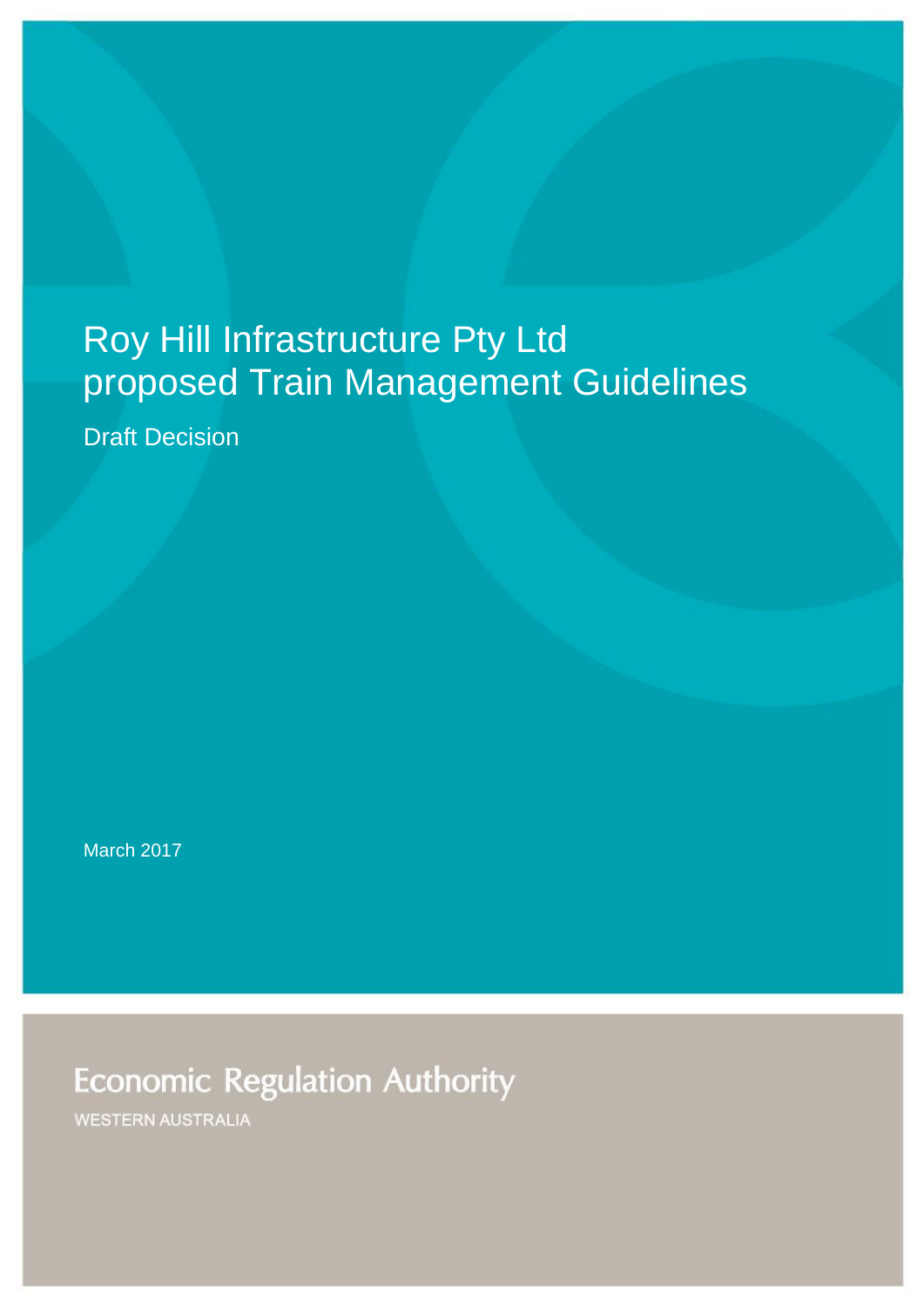# Roy Hill Infrastructure Pty Ltd proposed Train Management Guidelines

Draft Decision

March 2017

**Economic Regulation Authority** 

**WESTERN AUSTRALIA**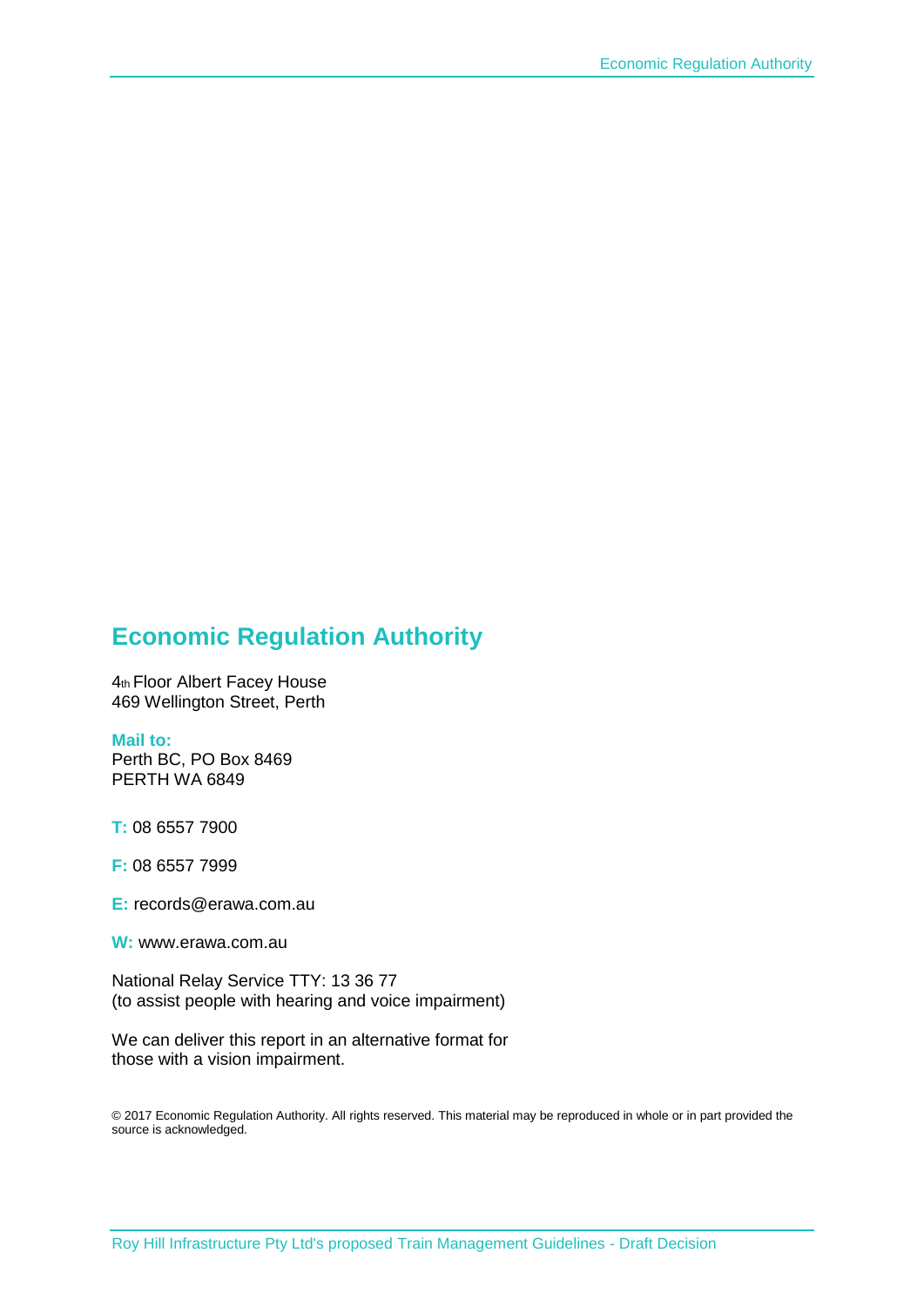### **Economic Regulation Authority**

4th Floor Albert Facey House 469 Wellington Street, Perth

#### **Mail to:**

Perth BC, PO Box 8469 PERTH WA 6849

**T:** 08 6557 7900

**F:** 08 6557 7999

**E:** records@erawa.com.au

**W:** www.erawa.com.au

National Relay Service TTY: 13 36 77 (to assist people with hearing and voice impairment)

We can deliver this report in an alternative format for those with a vision impairment.

© 2017 Economic Regulation Authority. All rights reserved. This material may be reproduced in whole or in part provided the source is acknowledged.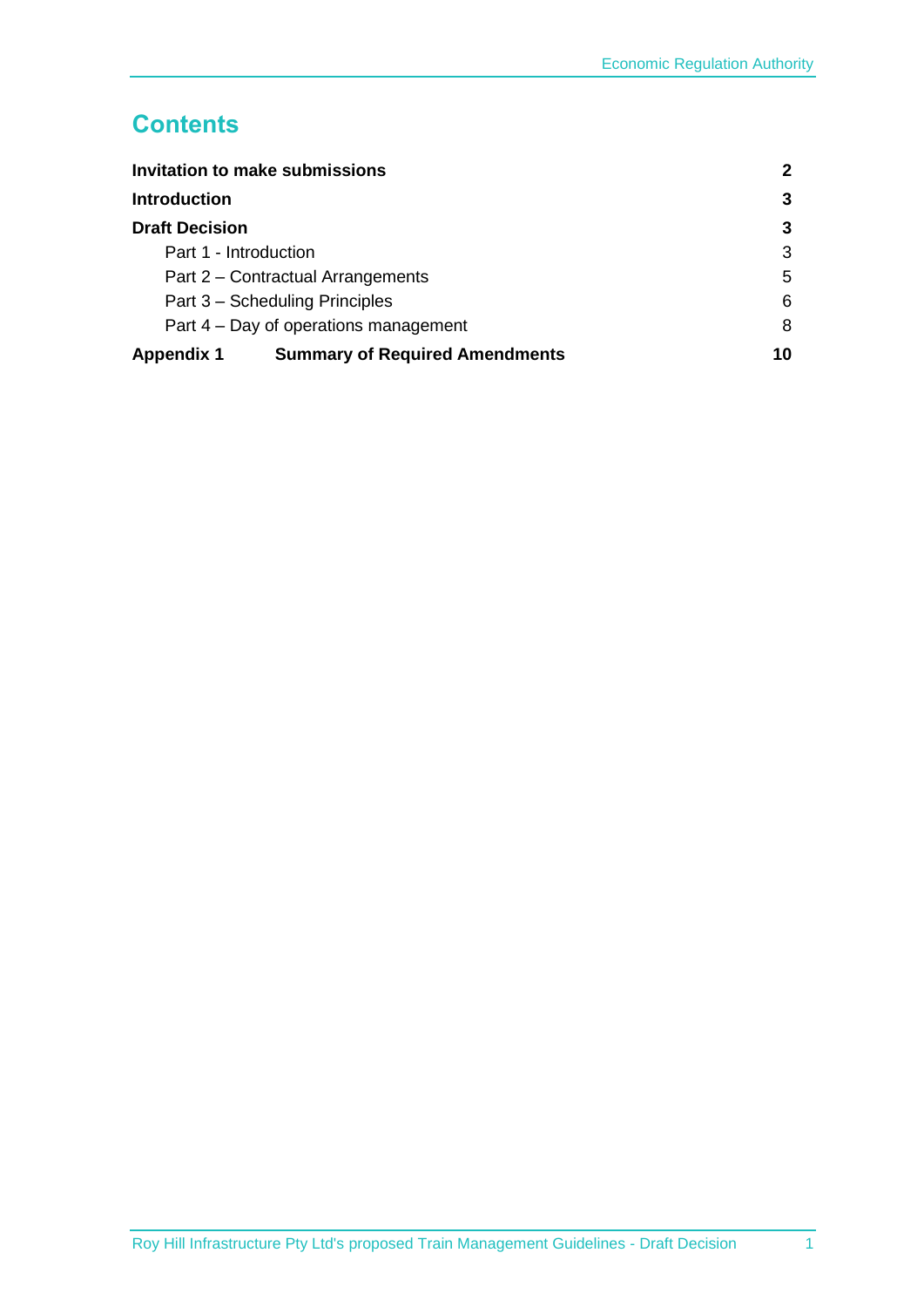### **Contents**

| <b>Invitation to make submissions</b><br><b>Introduction</b> |                                       | 2  |
|--------------------------------------------------------------|---------------------------------------|----|
|                                                              |                                       | 3  |
| <b>Draft Decision</b>                                        |                                       | 3  |
| Part 1 - Introduction                                        |                                       | 3  |
| Part 2 – Contractual Arrangements                            |                                       | 5  |
| Part 3 – Scheduling Principles                               |                                       | 6  |
| Part 4 – Day of operations management                        |                                       | 8  |
| <b>Appendix 1</b>                                            | <b>Summary of Required Amendments</b> | 10 |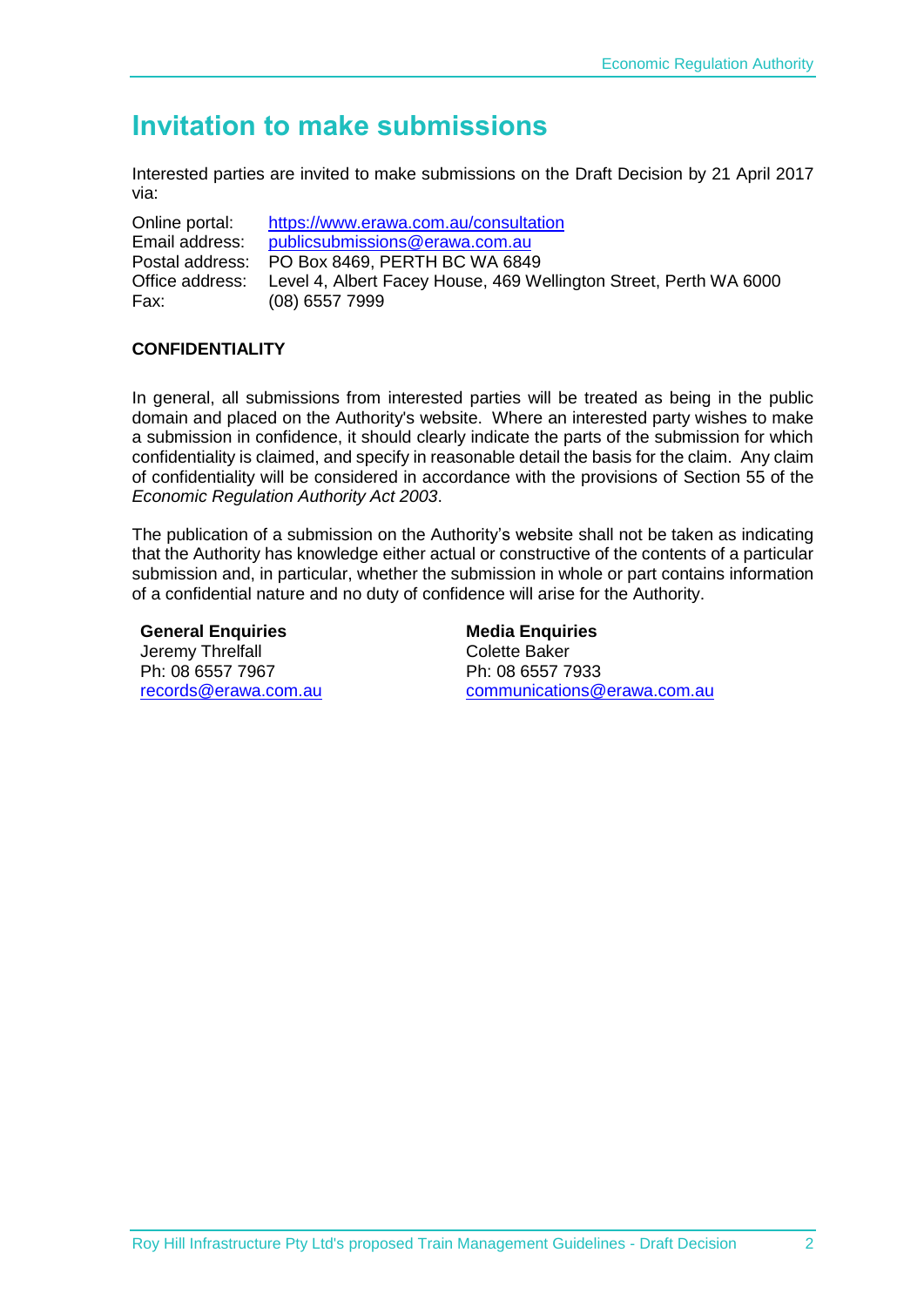## <span id="page-3-0"></span>**Invitation to make submissions**

Interested parties are invited to make submissions on the Draft Decision by 21 April 2017 via:

Online portal: <https://www.erawa.com.au/consultation> Email address: [publicsubmissions@erawa.com.au](mailto:publicsubmissions@erawa.com.au) Postal address: PO Box 8469, PERTH BC WA 6849 Office address: Level 4, Albert Facey House, 469 Wellington Street, Perth WA 6000 Fax: (08) 6557 7999

#### **CONFIDENTIALITY**

In general, all submissions from interested parties will be treated as being in the public domain and placed on the Authority's website. Where an interested party wishes to make a submission in confidence, it should clearly indicate the parts of the submission for which confidentiality is claimed, and specify in reasonable detail the basis for the claim. Any claim of confidentiality will be considered in accordance with the provisions of Section 55 of the *Economic Regulation Authority Act 2003*.

The publication of a submission on the Authority's website shall not be taken as indicating that the Authority has knowledge either actual or constructive of the contents of a particular submission and, in particular, whether the submission in whole or part contains information of a confidential nature and no duty of confidence will arise for the Authority.

**General Enquiries**  Jeremy Threlfall Ph: 08 6557 7967 [records@erawa.com.au](mailto:records@erawa.com.au)

**Media Enquiries**  Colette Baker Ph: 08 6557 7933 [communications@erawa.com.au](mailto:communications@erawa.com.au)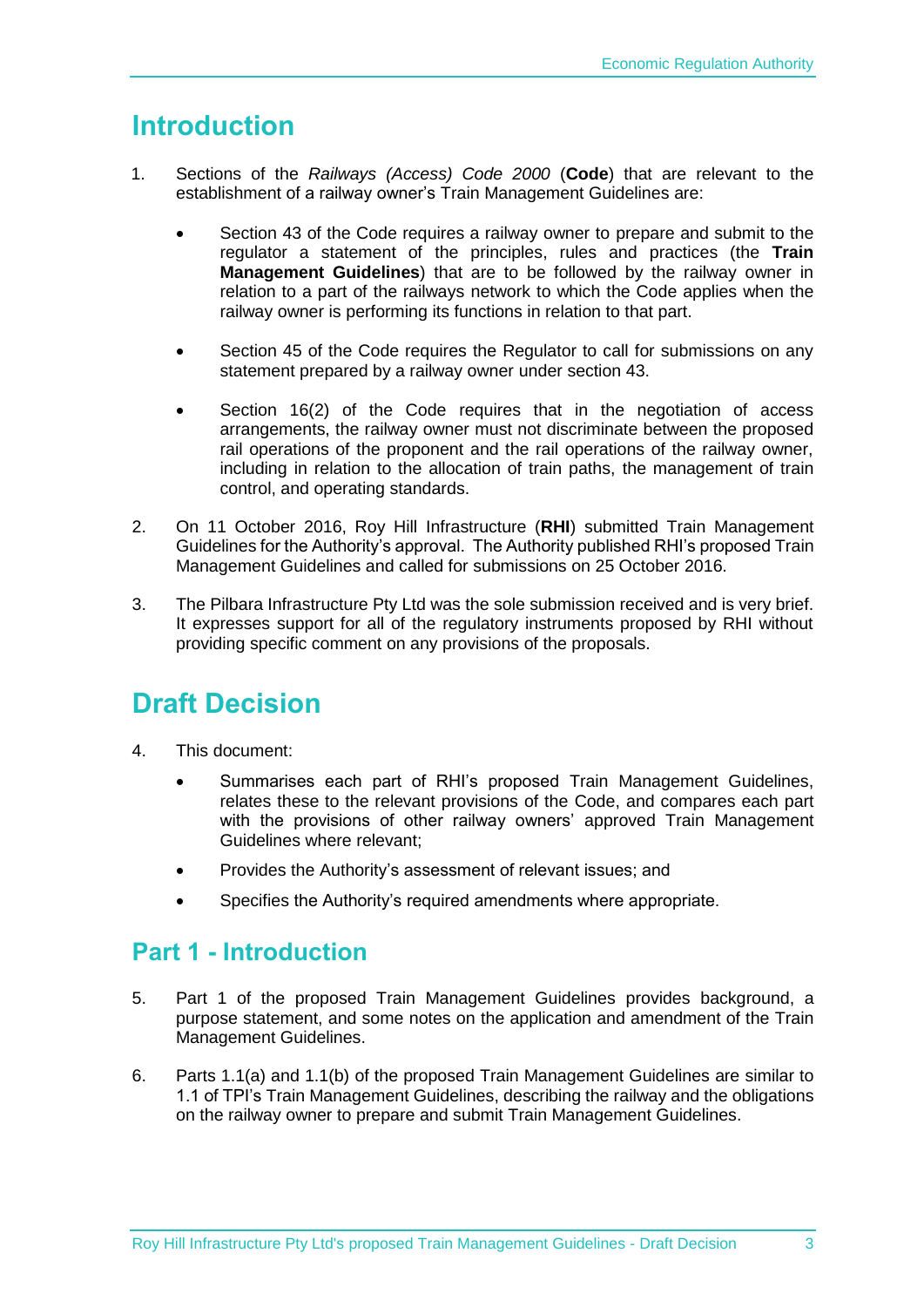# <span id="page-4-0"></span>**Introduction**

- 1. Sections of the *Railways (Access) Code 2000* (**Code**) that are relevant to the establishment of a railway owner's Train Management Guidelines are:
	- Section 43 of the Code requires a railway owner to prepare and submit to the regulator a statement of the principles, rules and practices (the **Train Management Guidelines**) that are to be followed by the railway owner in relation to a part of the railways network to which the Code applies when the railway owner is performing its functions in relation to that part.
	- Section 45 of the Code requires the Regulator to call for submissions on any statement prepared by a railway owner under section 43.
	- Section 16(2) of the Code requires that in the negotiation of access arrangements, the railway owner must not discriminate between the proposed rail operations of the proponent and the rail operations of the railway owner, including in relation to the allocation of train paths, the management of train control, and operating standards.
- 2. On 11 October 2016, Roy Hill Infrastructure (**RHI**) submitted Train Management Guidelines for the Authority's approval. The Authority published RHI's proposed Train Management Guidelines and called for submissions on 25 October 2016.
- 3. The Pilbara Infrastructure Pty Ltd was the sole submission received and is very brief. It expresses support for all of the regulatory instruments proposed by RHI without providing specific comment on any provisions of the proposals.

# <span id="page-4-1"></span>**Draft Decision**

- 4. This document:
	- Summarises each part of RHI's proposed Train Management Guidelines, relates these to the relevant provisions of the Code, and compares each part with the provisions of other railway owners' approved Train Management Guidelines where relevant;
	- Provides the Authority's assessment of relevant issues; and
	- Specifies the Authority's required amendments where appropriate.

### <span id="page-4-2"></span>**Part 1 - Introduction**

- 5. Part 1 of the proposed Train Management Guidelines provides background, a purpose statement, and some notes on the application and amendment of the Train Management Guidelines.
- 6. Parts 1.1(a) and 1.1(b) of the proposed Train Management Guidelines are similar to 1.1 of TPI's Train Management Guidelines, describing the railway and the obligations on the railway owner to prepare and submit Train Management Guidelines.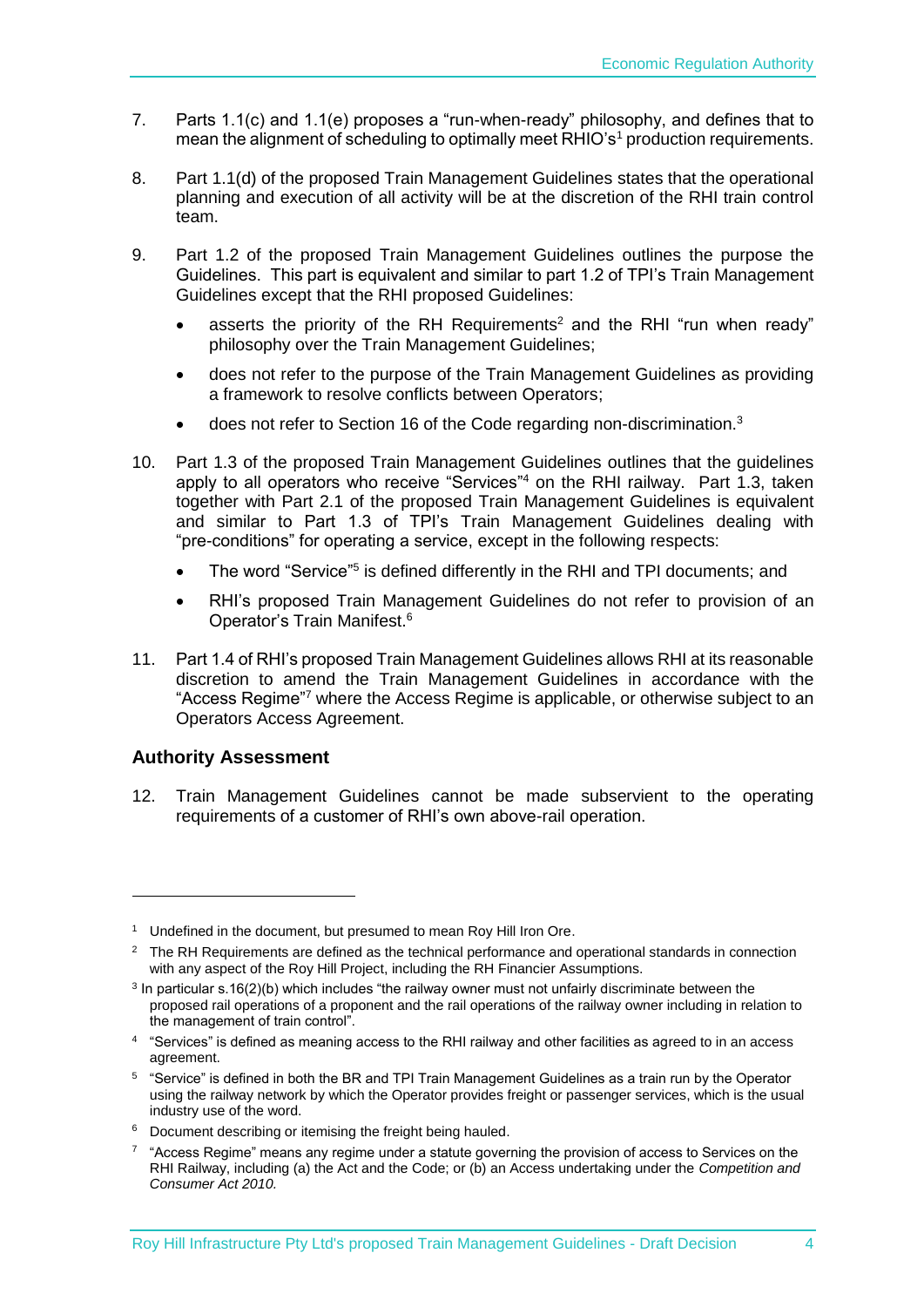- 7. Parts 1.1(c) and 1.1(e) proposes a "run-when-ready" philosophy, and defines that to mean the alignment of scheduling to optimally meet RHIO's<sup>1</sup> production requirements.
- 8. Part 1.1(d) of the proposed Train Management Guidelines states that the operational planning and execution of all activity will be at the discretion of the RHI train control team.
- 9. Part 1.2 of the proposed Train Management Guidelines outlines the purpose the Guidelines. This part is equivalent and similar to part 1.2 of TPI's Train Management Guidelines except that the RHI proposed Guidelines:
	- asserts the priority of the RH Requirements<sup>2</sup> and the RHI "run when ready" philosophy over the Train Management Guidelines;
	- does not refer to the purpose of the Train Management Guidelines as providing a framework to resolve conflicts between Operators;
	- does not refer to Section 16 of the Code regarding non-discrimination.<sup>3</sup>
- 10. Part 1.3 of the proposed Train Management Guidelines outlines that the guidelines apply to all operators who receive "Services"<sup>4</sup> on the RHI railway. Part 1.3, taken together with Part 2.1 of the proposed Train Management Guidelines is equivalent and similar to Part 1.3 of TPI's Train Management Guidelines dealing with "pre-conditions" for operating a service, except in the following respects:
	- The word "Service"<sup>5</sup> is defined differently in the RHI and TPI documents; and
	- RHI's proposed Train Management Guidelines do not refer to provision of an Operator's Train Manifest. 6
- 11. Part 1.4 of RHI's proposed Train Management Guidelines allows RHI at its reasonable discretion to amend the Train Management Guidelines in accordance with the "Access Regime"<sup>7</sup> where the Access Regime is applicable, or otherwise subject to an Operators Access Agreement.

#### **Authority Assessment**

-

12. Train Management Guidelines cannot be made subservient to the operating requirements of a customer of RHI's own above-rail operation.

<sup>&</sup>lt;sup>1</sup> Undefined in the document, but presumed to mean Roy Hill Iron Ore.

 $2 \text{ The RH Reauriments are defined as the technical performance and operational standards in connection.}$ with any aspect of the Roy Hill Project, including the RH Financier Assumptions.

<sup>&</sup>lt;sup>3</sup> In particular s.16(2)(b) which includes "the railway owner must not unfairly discriminate between the proposed rail operations of a proponent and the rail operations of the railway owner including in relation to the management of train control".

<sup>4</sup> "Services" is defined as meaning access to the RHI railway and other facilities as agreed to in an access agreement.

<sup>5</sup> "Service" is defined in both the BR and TPI Train Management Guidelines as a train run by the Operator using the railway network by which the Operator provides freight or passenger services, which is the usual industry use of the word.

<sup>6</sup> Document describing or itemising the freight being hauled.

<sup>&</sup>lt;sup>7</sup> "Access Regime" means any regime under a statute governing the provision of access to Services on the RHI Railway, including (a) the Act and the Code; or (b) an Access undertaking under the *Competition and Consumer Act 2010.*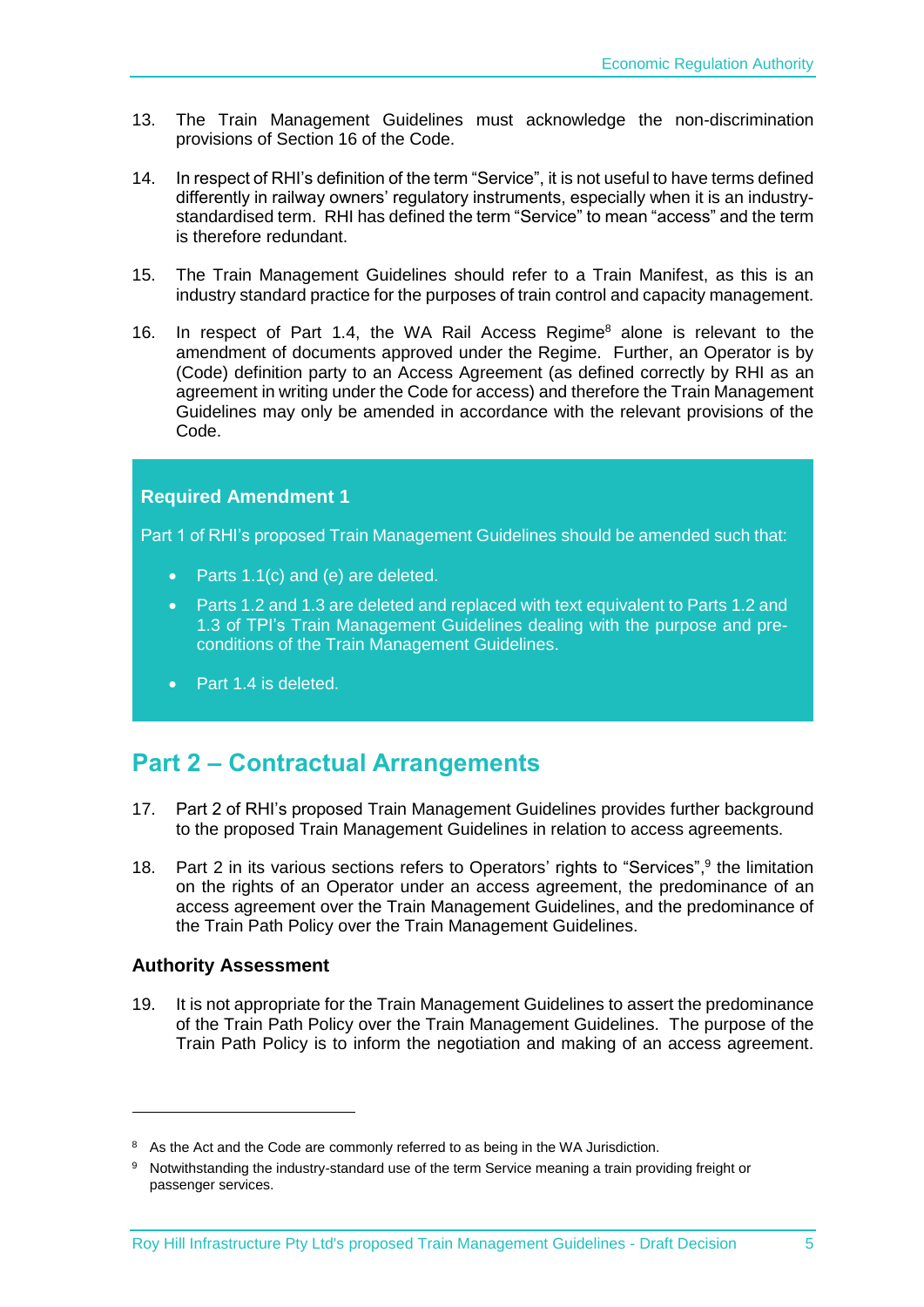- 13. The Train Management Guidelines must acknowledge the non-discrimination provisions of Section 16 of the Code.
- <span id="page-6-1"></span>14. In respect of RHI's definition of the term "Service", it is not useful to have terms defined differently in railway owners' regulatory instruments, especially when it is an industrystandardised term. RHI has defined the term "Service" to mean "access" and the term is therefore redundant.
- 15. The Train Management Guidelines should refer to a Train Manifest, as this is an industry standard practice for the purposes of train control and capacity management.
- 16. In respect of Part 1.4, the WA Rail Access Regime<sup>8</sup> alone is relevant to the amendment of documents approved under the Regime. Further, an Operator is by (Code) definition party to an Access Agreement (as defined correctly by RHI as an agreement in writing under the Code for access) and therefore the Train Management Guidelines may only be amended in accordance with the relevant provisions of the Code.

#### <span id="page-6-2"></span>**Required Amendment 1**

<span id="page-6-3"></span>Part 1 of RHI's proposed Train Management Guidelines should be amended such that:

- <span id="page-6-4"></span>• Parts 1.1(c) and (e) are deleted.
- <span id="page-6-5"></span> Parts 1.2 and 1.3 are deleted and replaced with text equivalent to Parts 1.2 and 1.3 of TPI's Train Management Guidelines dealing with the purpose and preconditions of the Train Management Guidelines.
- <span id="page-6-6"></span>Part 1.4 is deleted.

### <span id="page-6-0"></span>**Part 2 – Contractual Arrangements**

- 17. Part 2 of RHI's proposed Train Management Guidelines provides further background to the proposed Train Management Guidelines in relation to access agreements.
- 18. Part 2 in its various sections refers to Operators' rights to "Services",<sup>9</sup> the limitation on the rights of an Operator under an access agreement, the predominance of an access agreement over the Train Management Guidelines, and the predominance of the Train Path Policy over the Train Management Guidelines.

#### **Authority Assessment**

-

19. It is not appropriate for the Train Management Guidelines to assert the predominance of the Train Path Policy over the Train Management Guidelines. The purpose of the Train Path Policy is to inform the negotiation and making of an access agreement.

<sup>&</sup>lt;sup>8</sup> As the Act and the Code are commonly referred to as being in the WA Jurisdiction.

<sup>9</sup> Notwithstanding the industry-standard use of the term Service meaning a train providing freight or passenger services.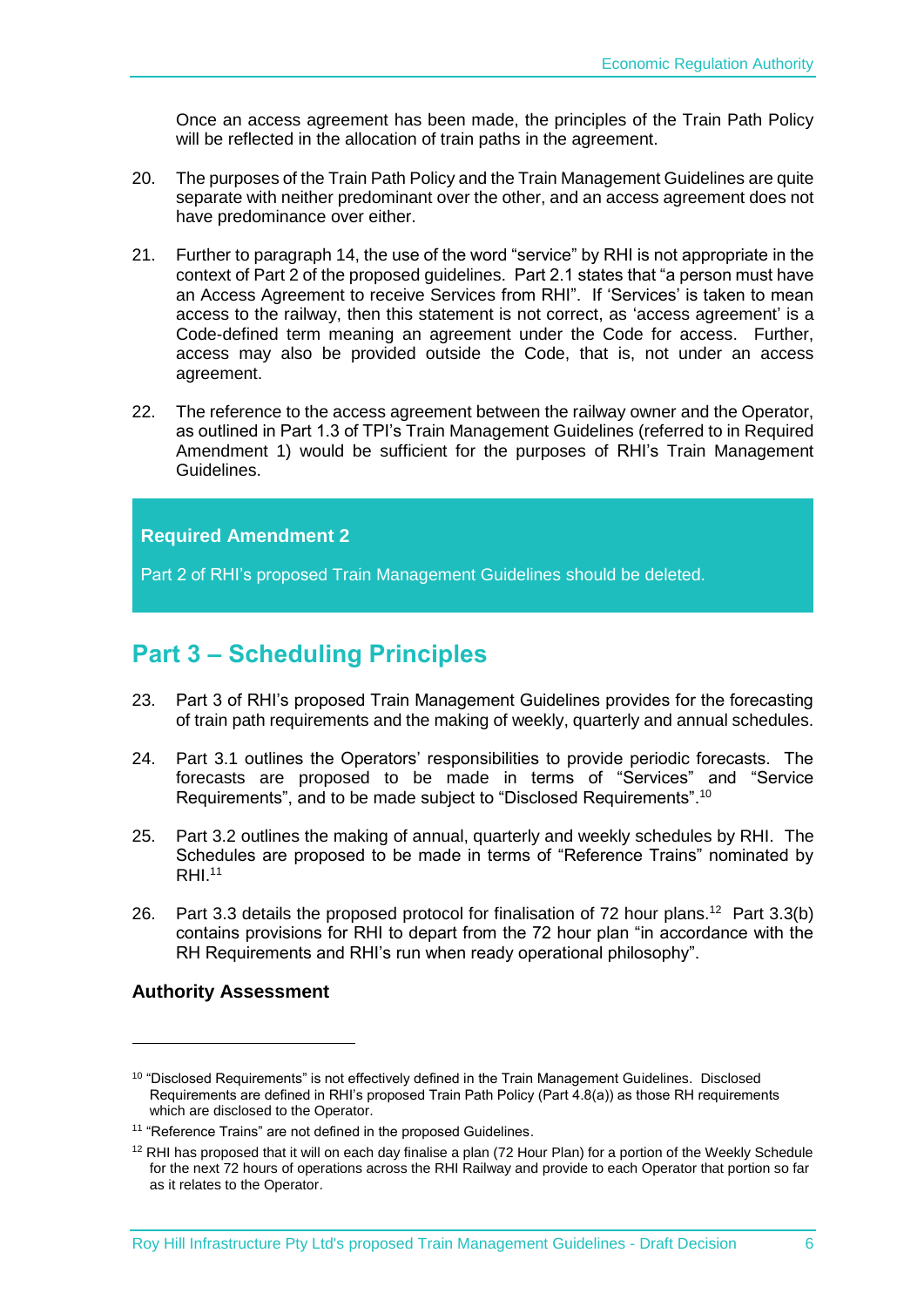Once an access agreement has been made, the principles of the Train Path Policy will be reflected in the allocation of train paths in the agreement.

- 20. The purposes of the Train Path Policy and the Train Management Guidelines are quite separate with neither predominant over the other, and an access agreement does not have predominance over either.
- 21. Further to paragraph [14,](#page-6-1) the use of the word "service" by RHI is not appropriate in the context of Part 2 of the proposed guidelines. Part 2.1 states that "a person must have an Access Agreement to receive Services from RHI". If 'Services' is taken to mean access to the railway, then this statement is not correct, as 'access agreement' is a Code-defined term meaning an agreement under the Code for access. Further, access may also be provided outside the Code, that is, not under an access agreement.
- 22. The reference to the access agreement between the railway owner and the Operator, as outlined in Part 1.3 of TPI's Train Management Guidelines (referred to in Required Amendment 1) would be sufficient for the purposes of RHI's Train Management Guidelines.

#### <span id="page-7-1"></span>**Required Amendment 2**

<span id="page-7-2"></span>Part 2 of RHI's proposed Train Management Guidelines should be deleted.

### <span id="page-7-0"></span>**Part 3 – Scheduling Principles**

- 23. Part 3 of RHI's proposed Train Management Guidelines provides for the forecasting of train path requirements and the making of weekly, quarterly and annual schedules.
- 24. Part 3.1 outlines the Operators' responsibilities to provide periodic forecasts. The forecasts are proposed to be made in terms of "Services" and "Service Requirements", and to be made subject to "Disclosed Requirements".<sup>10</sup>
- 25. Part 3.2 outlines the making of annual, quarterly and weekly schedules by RHI. The Schedules are proposed to be made in terms of "Reference Trains" nominated by  $RHI.<sup>11</sup>$
- 26. Part 3.3 details the proposed protocol for finalisation of 72 hour plans.<sup>12</sup> Part 3.3(b) contains provisions for RHI to depart from the 72 hour plan "in accordance with the RH Requirements and RHI's run when ready operational philosophy".

#### **Authority Assessment**

1

<sup>&</sup>lt;sup>10</sup> "Disclosed Requirements" is not effectively defined in the Train Management Guidelines. Disclosed Requirements are defined in RHI's proposed Train Path Policy (Part 4.8(a)) as those RH requirements which are disclosed to the Operator.

<sup>&</sup>lt;sup>11</sup> "Reference Trains" are not defined in the proposed Guidelines.

<sup>&</sup>lt;sup>12</sup> RHI has proposed that it will on each day finalise a plan (72 Hour Plan) for a portion of the Weekly Schedule for the next 72 hours of operations across the RHI Railway and provide to each Operator that portion so far as it relates to the Operator.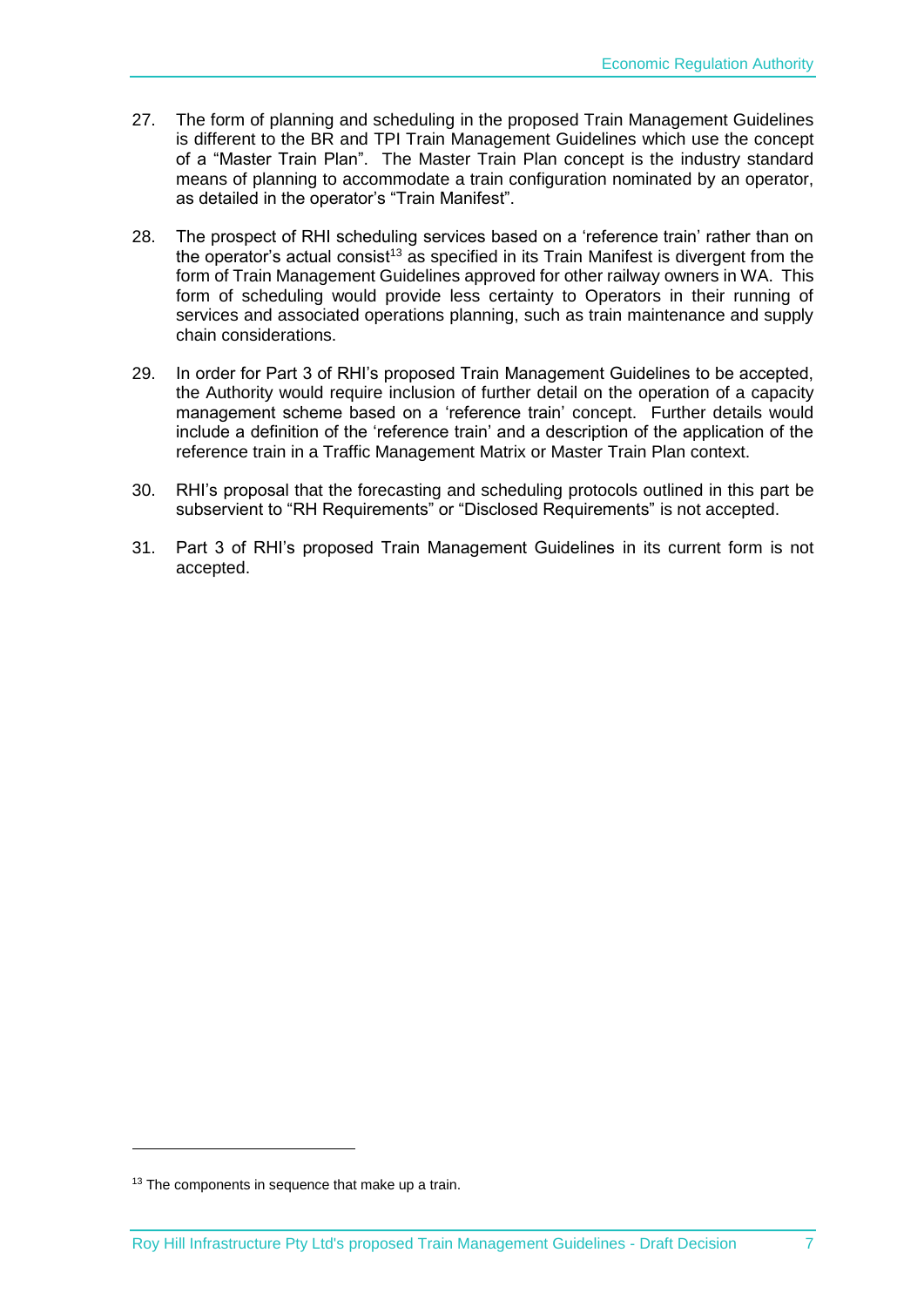- 27. The form of planning and scheduling in the proposed Train Management Guidelines is different to the BR and TPI Train Management Guidelines which use the concept of a "Master Train Plan". The Master Train Plan concept is the industry standard means of planning to accommodate a train configuration nominated by an operator, as detailed in the operator's "Train Manifest".
- 28. The prospect of RHI scheduling services based on a 'reference train' rather than on the operator's actual consist<sup>13</sup> as specified in its Train Manifest is divergent from the form of Train Management Guidelines approved for other railway owners in WA. This form of scheduling would provide less certainty to Operators in their running of services and associated operations planning, such as train maintenance and supply chain considerations.
- 29. In order for Part 3 of RHI's proposed Train Management Guidelines to be accepted, the Authority would require inclusion of further detail on the operation of a capacity management scheme based on a 'reference train' concept. Further details would include a definition of the 'reference train' and a description of the application of the reference train in a Traffic Management Matrix or Master Train Plan context.
- 30. RHI's proposal that the forecasting and scheduling protocols outlined in this part be subservient to "RH Requirements" or "Disclosed Requirements" is not accepted.
- 31. Part 3 of RHI's proposed Train Management Guidelines in its current form is not accepted.

1

<sup>&</sup>lt;sup>13</sup> The components in sequence that make up a train.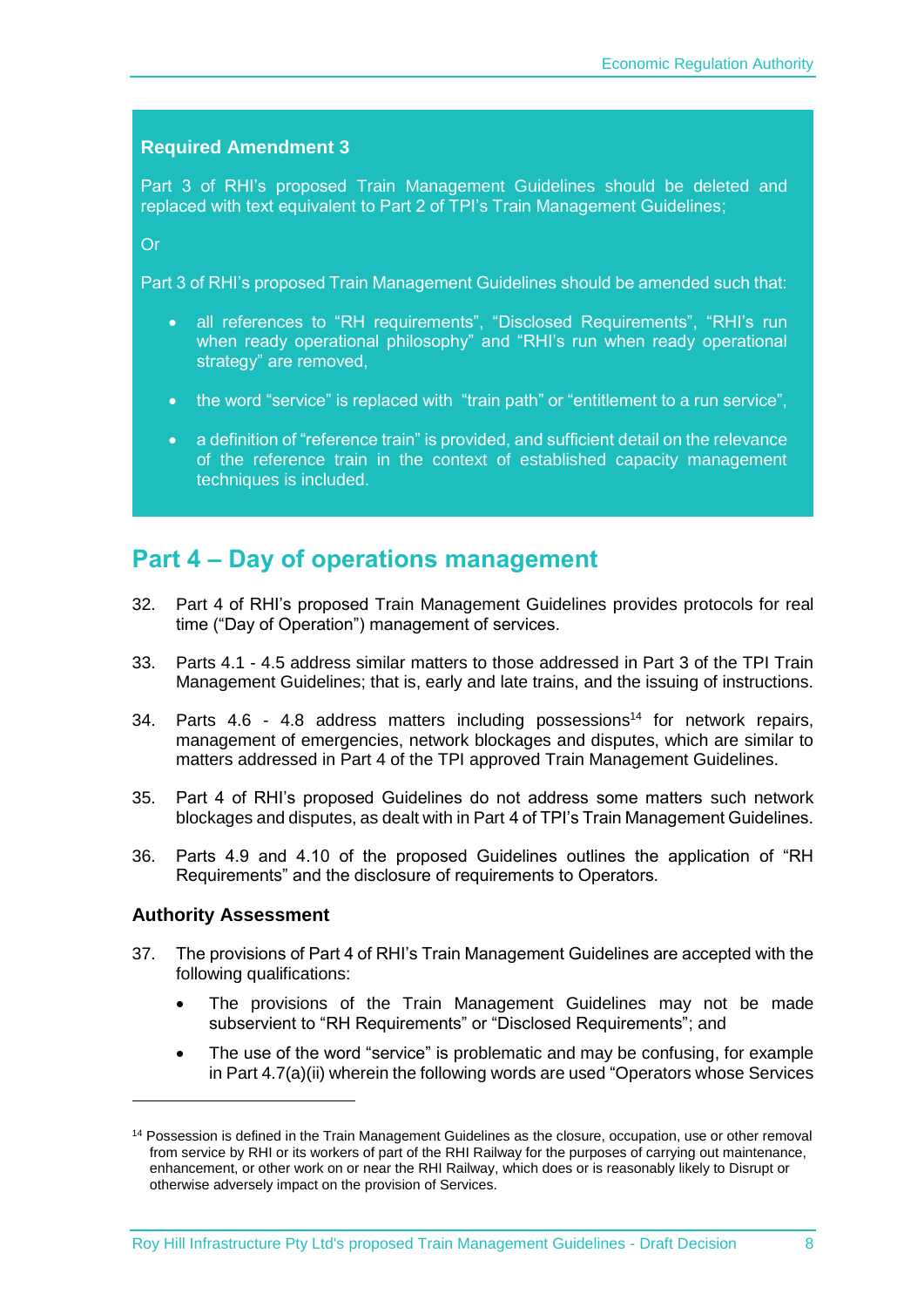#### <span id="page-9-1"></span>**Required Amendment 3**

<span id="page-9-2"></span>Part 3 of RHI's proposed Train Management Guidelines should be deleted and replaced with text equivalent to Part 2 of TPI's Train Management Guidelines;

<span id="page-9-3"></span>Or

<span id="page-9-4"></span>Part 3 of RHI's proposed Train Management Guidelines should be amended such that:

- <span id="page-9-5"></span> all references to "RH requirements", "Disclosed Requirements", "RHI's run when ready operational philosophy" and "RHI's run when ready operational strategy" are removed,
- <span id="page-9-6"></span>the word "service" is replaced with "train path" or "entitlement to a run service",
- <span id="page-9-7"></span> a definition of "reference train" is provided, and sufficient detail on the relevance of the reference train in the context of established capacity management techniques is included.

### <span id="page-9-0"></span>**Part 4 – Day of operations management**

- 32. Part 4 of RHI's proposed Train Management Guidelines provides protocols for real time ("Day of Operation") management of services.
- 33. Parts 4.1 4.5 address similar matters to those addressed in Part 3 of the TPI Train Management Guidelines; that is, early and late trains, and the issuing of instructions.
- 34. Parts 4.6 4.8 address matters including possessions<sup>14</sup> for network repairs, management of emergencies, network blockages and disputes, which are similar to matters addressed in Part 4 of the TPI approved Train Management Guidelines.
- 35. Part 4 of RHI's proposed Guidelines do not address some matters such network blockages and disputes, as dealt with in Part 4 of TPI's Train Management Guidelines.
- 36. Parts 4.9 and 4.10 of the proposed Guidelines outlines the application of "RH Requirements" and the disclosure of requirements to Operators.

#### **Authority Assessment**

1

- 37. The provisions of Part 4 of RHI's Train Management Guidelines are accepted with the following qualifications:
	- The provisions of the Train Management Guidelines may not be made subservient to "RH Requirements" or "Disclosed Requirements"; and
	- The use of the word "service" is problematic and may be confusing, for example in Part 4.7(a)(ii) wherein the following words are used "Operators whose Services

<sup>&</sup>lt;sup>14</sup> Possession is defined in the Train Management Guidelines as the closure, occupation, use or other removal from service by RHI or its workers of part of the RHI Railway for the purposes of carrying out maintenance, enhancement, or other work on or near the RHI Railway, which does or is reasonably likely to Disrupt or otherwise adversely impact on the provision of Services.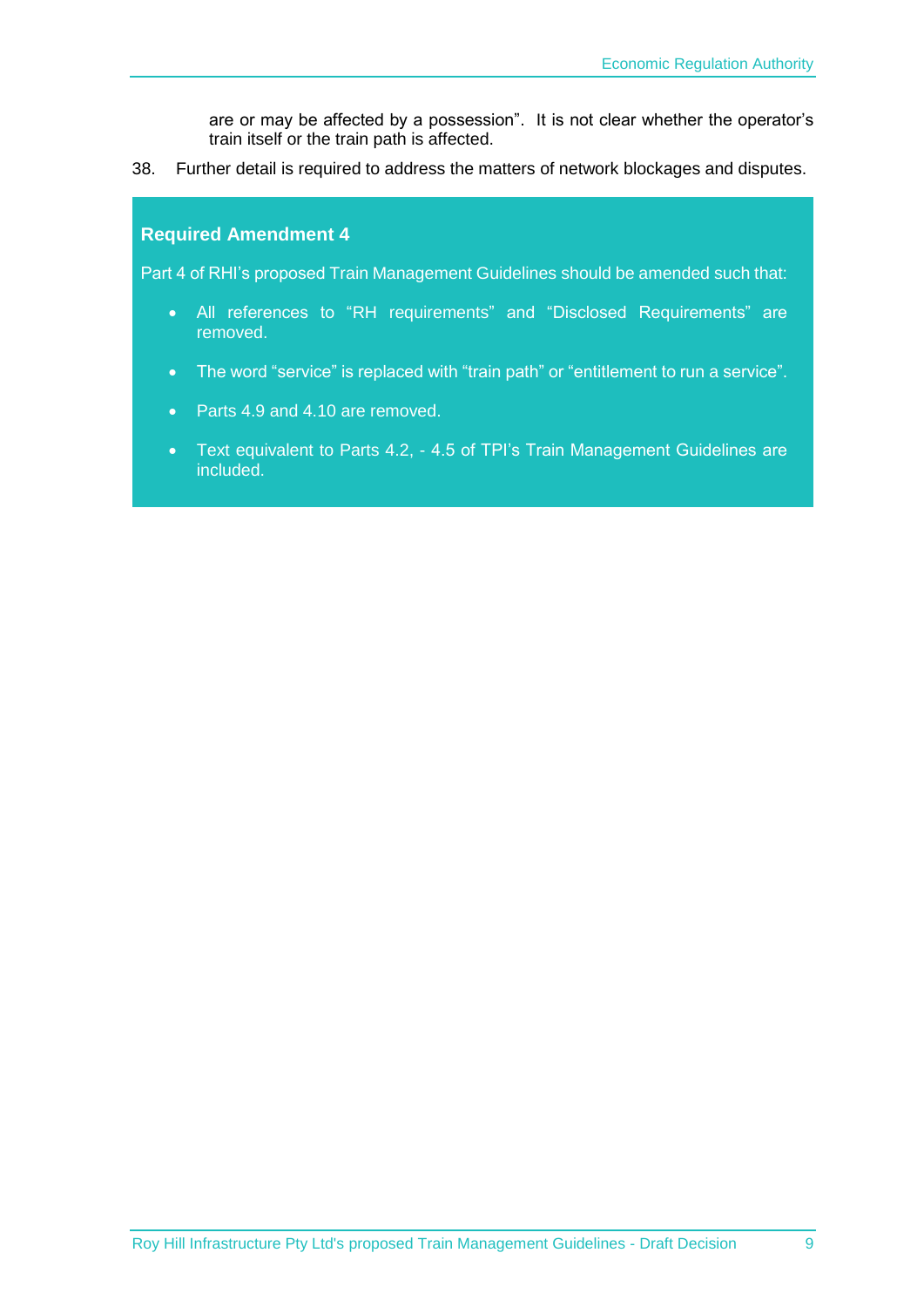are or may be affected by a possession". It is not clear whether the operator's train itself or the train path is affected.

38. Further detail is required to address the matters of network blockages and disputes.

#### <span id="page-10-0"></span>**Required Amendment 4**

<span id="page-10-1"></span>Part 4 of RHI's proposed Train Management Guidelines should be amended such that:

- <span id="page-10-2"></span> All references to "RH requirements" and "Disclosed Requirements" are removed.
- <span id="page-10-3"></span>• The word "service" is replaced with "train path" or "entitlement to run a service".
- <span id="page-10-4"></span>• Parts 4.9 and 4.10 are removed.
- <span id="page-10-5"></span> Text equivalent to Parts 4.2, - 4.5 of TPI's Train Management Guidelines are included.